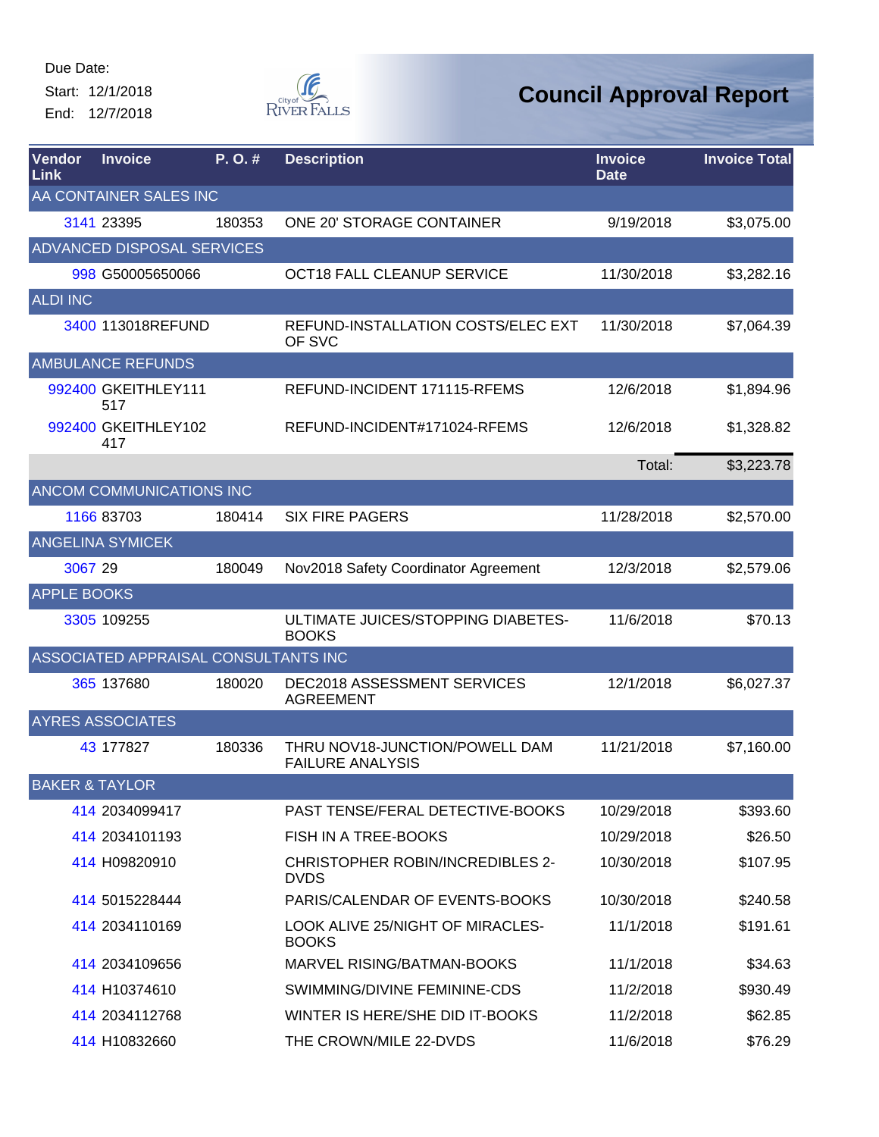Start: 12/1/2018 End: 12/7/2018



| Vendor<br>Link            | <b>Invoice</b>                       | P.O.#  | <b>Description</b>                                        | <b>Invoice</b><br><b>Date</b> | <b>Invoice Total</b> |
|---------------------------|--------------------------------------|--------|-----------------------------------------------------------|-------------------------------|----------------------|
|                           | AA CONTAINER SALES INC               |        |                                                           |                               |                      |
|                           | 3141 23395                           | 180353 | <b>ONE 20' STORAGE CONTAINER</b>                          | 9/19/2018                     | \$3,075.00           |
|                           | <b>ADVANCED DISPOSAL SERVICES</b>    |        |                                                           |                               |                      |
|                           | 998 G50005650066                     |        | OCT18 FALL CLEANUP SERVICE                                | 11/30/2018                    | \$3,282.16           |
| ALDI INC                  |                                      |        |                                                           |                               |                      |
|                           | 3400 113018REFUND                    |        | REFUND-INSTALLATION COSTS/ELEC EXT<br>OF SVC              | 11/30/2018                    | \$7,064.39           |
|                           | <b>AMBULANCE REFUNDS</b>             |        |                                                           |                               |                      |
|                           | 992400 GKEITHLEY111<br>517           |        | REFUND-INCIDENT 171115-RFEMS                              | 12/6/2018                     | \$1,894.96           |
|                           | 992400 GKEITHLEY102<br>417           |        | REFUND-INCIDENT#171024-RFEMS                              | 12/6/2018                     | \$1,328.82           |
|                           |                                      |        |                                                           | Total:                        | \$3,223.78           |
|                           | ANCOM COMMUNICATIONS INC             |        |                                                           |                               |                      |
|                           | 1166 83703                           | 180414 | <b>SIX FIRE PAGERS</b>                                    | 11/28/2018                    | \$2,570.00           |
|                           | <b>ANGELINA SYMICEK</b>              |        |                                                           |                               |                      |
| 3067 29                   |                                      | 180049 | Nov2018 Safety Coordinator Agreement                      | 12/3/2018                     | \$2,579.06           |
| <b>APPLE BOOKS</b>        |                                      |        |                                                           |                               |                      |
|                           | 3305 109255                          |        | ULTIMATE JUICES/STOPPING DIABETES-<br><b>BOOKS</b>        | 11/6/2018                     | \$70.13              |
|                           | ASSOCIATED APPRAISAL CONSULTANTS INC |        |                                                           |                               |                      |
|                           | 365 137680                           | 180020 | DEC2018 ASSESSMENT SERVICES<br><b>AGREEMENT</b>           | 12/1/2018                     | \$6,027.37           |
|                           | <b>AYRES ASSOCIATES</b>              |        |                                                           |                               |                      |
|                           | 43 177827                            | 180336 | THRU NOV18-JUNCTION/POWELL DAM<br><b>FAILURE ANALYSIS</b> | 11/21/2018                    | \$7,160.00           |
| <b>BAKER &amp; TAYLOR</b> |                                      |        |                                                           |                               |                      |
|                           | 414 2034099417                       |        | PAST TENSE/FERAL DETECTIVE-BOOKS                          | 10/29/2018                    | \$393.60             |
|                           | 414 2034101193                       |        | FISH IN A TREE-BOOKS                                      | 10/29/2018                    | \$26.50              |
|                           | 414 H09820910                        |        | <b>CHRISTOPHER ROBIN/INCREDIBLES 2-</b><br><b>DVDS</b>    | 10/30/2018                    | \$107.95             |
|                           | 414 5015228444                       |        | PARIS/CALENDAR OF EVENTS-BOOKS                            | 10/30/2018                    | \$240.58             |
|                           | 414 2034110169                       |        | LOOK ALIVE 25/NIGHT OF MIRACLES-<br><b>BOOKS</b>          | 11/1/2018                     | \$191.61             |
|                           | 414 2034109656                       |        | MARVEL RISING/BATMAN-BOOKS                                | 11/1/2018                     | \$34.63              |
|                           | 414 H10374610                        |        | SWIMMING/DIVINE FEMININE-CDS                              | 11/2/2018                     | \$930.49             |
|                           | 414 2034112768                       |        | WINTER IS HERE/SHE DID IT-BOOKS                           | 11/2/2018                     | \$62.85              |
|                           | 414 H10832660                        |        | THE CROWN/MILE 22-DVDS                                    | 11/6/2018                     | \$76.29              |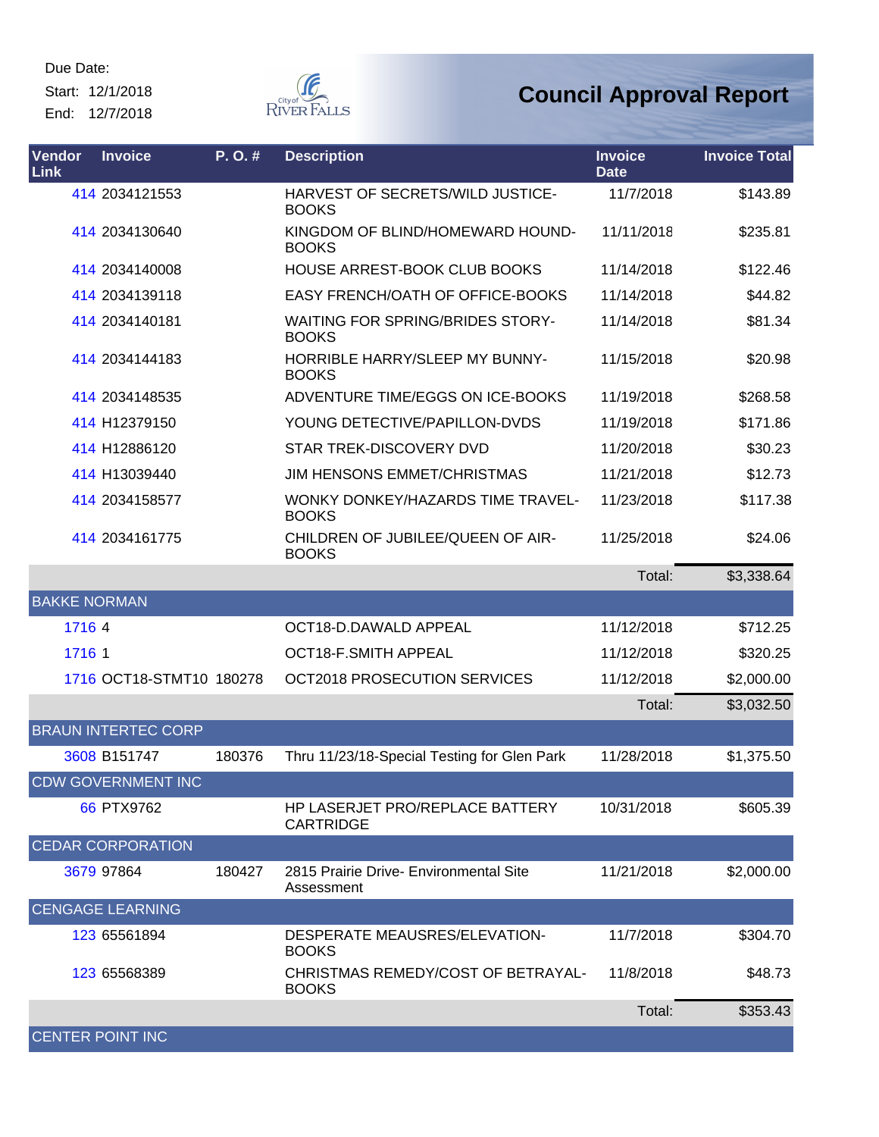Start: 12/1/2018 End: 12/7/2018



| Vendor<br>Link      | <b>Invoice</b>             | P.O.#  | <b>Description</b>                                         | <b>Invoice</b><br><b>Date</b> | <b>Invoice Total</b> |
|---------------------|----------------------------|--------|------------------------------------------------------------|-------------------------------|----------------------|
|                     | 414 2034121553             |        | HARVEST OF SECRETS/WILD JUSTICE-<br><b>BOOKS</b>           | 11/7/2018                     | \$143.89             |
|                     | 414 2034130640             |        | KINGDOM OF BLIND/HOMEWARD HOUND-<br><b>BOOKS</b>           | 11/11/2018                    | \$235.81             |
|                     | 414 2034140008             |        | HOUSE ARREST-BOOK CLUB BOOKS                               | 11/14/2018                    | \$122.46             |
|                     | 414 2034139118             |        | EASY FRENCH/OATH OF OFFICE-BOOKS                           | 11/14/2018                    | \$44.82              |
|                     | 414 2034140181             |        | <b>WAITING FOR SPRING/BRIDES STORY-</b><br><b>BOOKS</b>    | 11/14/2018                    | \$81.34              |
|                     | 414 2034144183             |        | HORRIBLE HARRY/SLEEP MY BUNNY-<br><b>BOOKS</b>             | 11/15/2018                    | \$20.98              |
|                     | 414 2034148535             |        | ADVENTURE TIME/EGGS ON ICE-BOOKS                           | 11/19/2018                    | \$268.58             |
|                     | 414 H12379150              |        | YOUNG DETECTIVE/PAPILLON-DVDS                              | 11/19/2018                    | \$171.86             |
|                     | 414 H12886120              |        | STAR TREK-DISCOVERY DVD                                    | 11/20/2018                    | \$30.23              |
|                     | 414 H13039440              |        | <b>JIM HENSONS EMMET/CHRISTMAS</b>                         | 11/21/2018                    | \$12.73              |
|                     | 414 2034158577             |        | WONKY DONKEY/HAZARDS TIME TRAVEL-<br><b>BOOKS</b>          | 11/23/2018                    | \$117.38             |
|                     | 414 2034161775             |        | CHILDREN OF JUBILEE/QUEEN OF AIR-<br><b>BOOKS</b>          | 11/25/2018                    | \$24.06              |
|                     |                            |        |                                                            | Total:                        | \$3,338.64           |
| <b>BAKKE NORMAN</b> |                            |        |                                                            |                               |                      |
| 1716 4              |                            |        | OCT18-D.DAWALD APPEAL                                      | 11/12/2018                    | \$712.25             |
| 1716 1              |                            |        | OCT18-F.SMITH APPEAL                                       | 11/12/2018                    | \$320.25             |
|                     | 1716 OCT18-STMT10 180278   |        | OCT2018 PROSECUTION SERVICES                               | 11/12/2018                    | \$2,000.00           |
|                     |                            |        |                                                            | Total:                        | \$3,032.50           |
|                     | <b>BRAUN INTERTEC CORP</b> |        |                                                            |                               |                      |
|                     | 3608 B151747               | 180376 | Thru 11/23/18-Special Testing for Glen Park                | 11/28/2018                    | \$1,375.50           |
|                     | <b>CDW GOVERNMENT INC</b>  |        |                                                            |                               |                      |
|                     | 66 PTX9762                 |        | <b>HP LASERJET PRO/REPLACE BATTERY</b><br><b>CARTRIDGE</b> | 10/31/2018                    | \$605.39             |
|                     | <b>CEDAR CORPORATION</b>   |        |                                                            |                               |                      |
|                     | 3679 97864                 | 180427 | 2815 Prairie Drive- Environmental Site<br>Assessment       | 11/21/2018                    | \$2,000.00           |
|                     | <b>CENGAGE LEARNING</b>    |        |                                                            |                               |                      |
|                     | 123 65561894               |        | DESPERATE MEAUSRES/ELEVATION-<br><b>BOOKS</b>              | 11/7/2018                     | \$304.70             |
|                     | 123 65568389               |        | CHRISTMAS REMEDY/COST OF BETRAYAL-<br><b>BOOKS</b>         | 11/8/2018                     | \$48.73              |
|                     |                            |        |                                                            | Total:                        | \$353.43             |
|                     | <b>CENTER POINT INC</b>    |        |                                                            |                               |                      |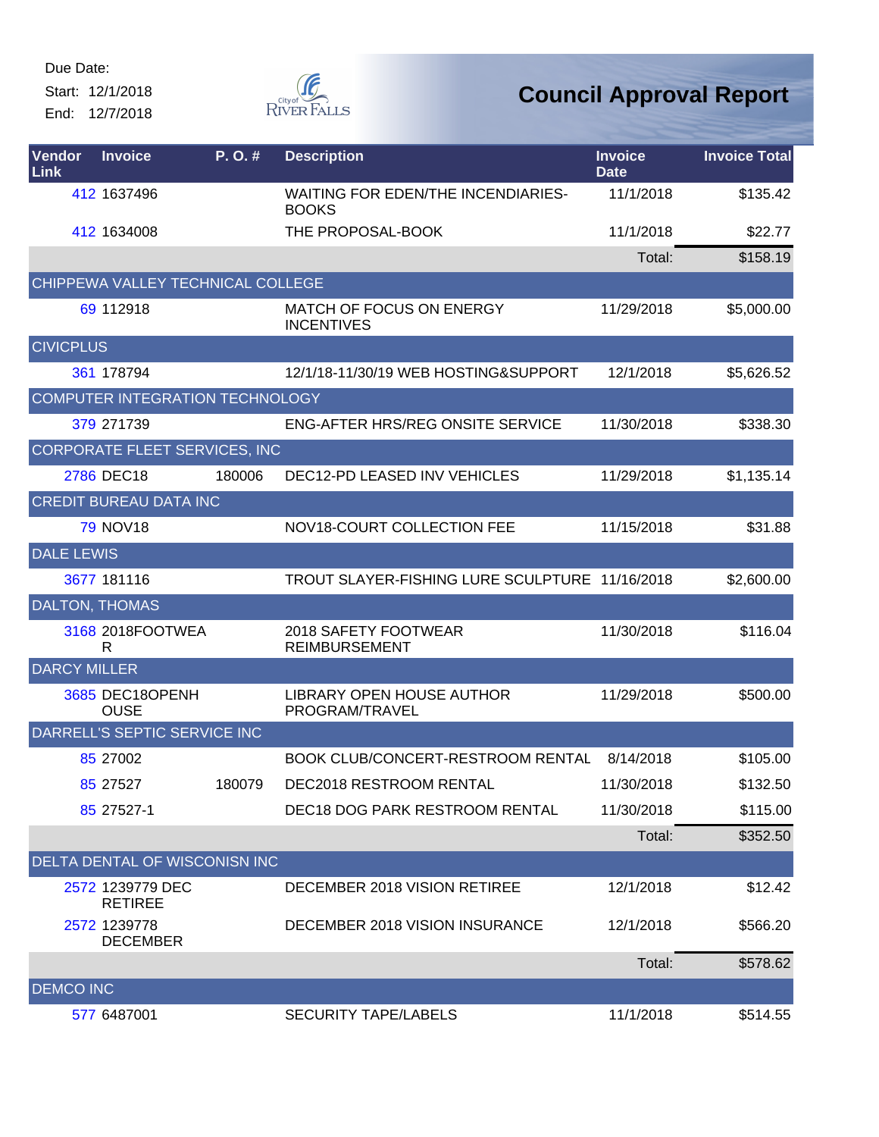Start: 12/1/2018 End: 12/7/2018



| Vendor<br>Link        | <b>Invoice</b>                       | P.O.#  | <b>Description</b>                                        | <b>Invoice</b><br><b>Date</b> | <b>Invoice Total</b> |
|-----------------------|--------------------------------------|--------|-----------------------------------------------------------|-------------------------------|----------------------|
|                       | 412 1637496                          |        | <b>WAITING FOR EDEN/THE INCENDIARIES-</b><br><b>BOOKS</b> | 11/1/2018                     | \$135.42             |
|                       | 412 1634008                          |        | THE PROPOSAL-BOOK                                         | 11/1/2018                     | \$22.77              |
|                       |                                      |        |                                                           | Total:                        | \$158.19             |
|                       | CHIPPEWA VALLEY TECHNICAL COLLEGE    |        |                                                           |                               |                      |
|                       | 69 112918                            |        | MATCH OF FOCUS ON ENERGY<br><b>INCENTIVES</b>             | 11/29/2018                    | \$5,000.00           |
| <b>CIVICPLUS</b>      |                                      |        |                                                           |                               |                      |
|                       | 361 178794                           |        | 12/1/18-11/30/19 WEB HOSTING&SUPPORT                      | 12/1/2018                     | \$5,626.52           |
|                       | COMPUTER INTEGRATION TECHNOLOGY      |        |                                                           |                               |                      |
|                       | 379 271739                           |        | <b>ENG-AFTER HRS/REG ONSITE SERVICE</b>                   | 11/30/2018                    | \$338.30             |
|                       | <b>CORPORATE FLEET SERVICES, INC</b> |        |                                                           |                               |                      |
|                       | 2786 DEC18                           | 180006 | DEC12-PD LEASED INV VEHICLES                              | 11/29/2018                    | \$1,135.14           |
|                       | CREDIT BUREAU DATA INC               |        |                                                           |                               |                      |
|                       | <b>79 NOV18</b>                      |        | NOV18-COURT COLLECTION FEE                                | 11/15/2018                    | \$31.88              |
| <b>DALE LEWIS</b>     |                                      |        |                                                           |                               |                      |
|                       | 3677 181116                          |        | TROUT SLAYER-FISHING LURE SCULPTURE 11/16/2018            |                               | \$2,600.00           |
| <b>DALTON, THOMAS</b> |                                      |        |                                                           |                               |                      |
|                       | 3168 2018FOOTWEA<br>R                |        | 2018 SAFETY FOOTWEAR<br><b>REIMBURSEMENT</b>              | 11/30/2018                    | \$116.04             |
| <b>DARCY MILLER</b>   |                                      |        |                                                           |                               |                      |
|                       | 3685 DEC18OPENH<br><b>OUSE</b>       |        | LIBRARY OPEN HOUSE AUTHOR<br>PROGRAM/TRAVEL               | 11/29/2018                    | \$500.00             |
|                       | DARRELL'S SEPTIC SERVICE INC         |        |                                                           |                               |                      |
|                       | 85 27002                             |        | <b>BOOK CLUB/CONCERT-RESTROOM RENTAL</b>                  | 8/14/2018                     | \$105.00             |
|                       | 85 27527                             | 180079 | DEC2018 RESTROOM RENTAL                                   | 11/30/2018                    | \$132.50             |
|                       | 85 27527-1                           |        | DEC18 DOG PARK RESTROOM RENTAL                            | 11/30/2018                    | \$115.00             |
|                       |                                      |        |                                                           | Total:                        | \$352.50             |
|                       | DELTA DENTAL OF WISCONISN INC        |        |                                                           |                               |                      |
|                       | 2572 1239779 DEC<br><b>RETIREE</b>   |        | DECEMBER 2018 VISION RETIREE                              | 12/1/2018                     | \$12.42              |
|                       | 2572 1239778<br><b>DECEMBER</b>      |        | DECEMBER 2018 VISION INSURANCE                            | 12/1/2018                     | \$566.20             |
|                       |                                      |        |                                                           | Total:                        | \$578.62             |
| <b>DEMCO INC</b>      |                                      |        |                                                           |                               |                      |
|                       | 577 6487001                          |        | <b>SECURITY TAPE/LABELS</b>                               | 11/1/2018                     | \$514.55             |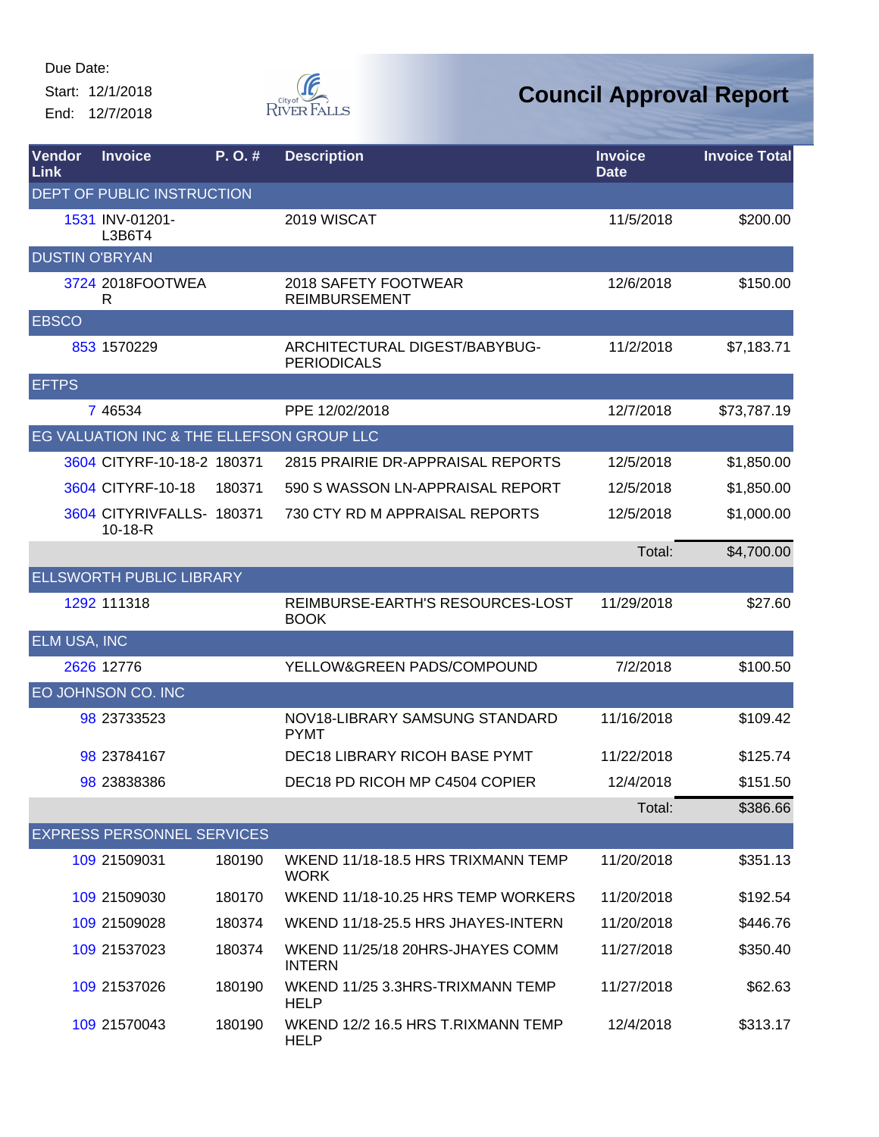Start: 12/1/2018 End: 12/7/2018



| Vendor<br>Link        | <b>Invoice</b>                            | P.O.#  | <b>Description</b>                                  | <b>Invoice</b><br><b>Date</b> | <b>Invoice Total</b> |
|-----------------------|-------------------------------------------|--------|-----------------------------------------------------|-------------------------------|----------------------|
|                       | DEPT OF PUBLIC INSTRUCTION                |        |                                                     |                               |                      |
|                       | 1531 INV-01201-<br>L3B6T4                 |        | 2019 WISCAT                                         | 11/5/2018                     | \$200.00             |
| <b>DUSTIN O'BRYAN</b> |                                           |        |                                                     |                               |                      |
|                       | 3724 2018FOOTWEA<br>R                     |        | 2018 SAFETY FOOTWEAR<br><b>REIMBURSEMENT</b>        | 12/6/2018                     | \$150.00             |
| <b>EBSCO</b>          |                                           |        |                                                     |                               |                      |
|                       | 853 1570229                               |        | ARCHITECTURAL DIGEST/BABYBUG-<br><b>PERIODICALS</b> | 11/2/2018                     | \$7,183.71           |
| <b>EFTPS</b>          |                                           |        |                                                     |                               |                      |
|                       | 7 46534                                   |        | PPE 12/02/2018                                      | 12/7/2018                     | \$73,787.19          |
|                       | EG VALUATION INC & THE ELLEFSON GROUP LLC |        |                                                     |                               |                      |
|                       | 3604 CITYRF-10-18-2 180371                |        | 2815 PRAIRIE DR-APPRAISAL REPORTS                   | 12/5/2018                     | \$1,850.00           |
|                       | 3604 CITYRF-10-18                         | 180371 | 590 S WASSON LN-APPRAISAL REPORT                    | 12/5/2018                     | \$1,850.00           |
|                       | 3604 CITYRIVFALLS- 180371<br>$10-18-R$    |        | 730 CTY RD M APPRAISAL REPORTS                      | 12/5/2018                     | \$1,000.00           |
|                       |                                           |        |                                                     | Total:                        | \$4,700.00           |
|                       | <b>ELLSWORTH PUBLIC LIBRARY</b>           |        |                                                     |                               |                      |
|                       | 1292 111318                               |        | REIMBURSE-EARTH'S RESOURCES-LOST<br><b>BOOK</b>     | 11/29/2018                    | \$27.60              |
| <b>ELM USA, INC</b>   |                                           |        |                                                     |                               |                      |
|                       | 2626 12776                                |        | YELLOW&GREEN PADS/COMPOUND                          | 7/2/2018                      | \$100.50             |
|                       | EO JOHNSON CO. INC                        |        |                                                     |                               |                      |
|                       | 98 23733523                               |        | NOV18-LIBRARY SAMSUNG STANDARD<br><b>PYMT</b>       | 11/16/2018                    | \$109.42             |
|                       | 98 23784167                               |        | <b>DEC18 LIBRARY RICOH BASE PYMT</b>                | 11/22/2018                    | \$125.74             |
|                       | 98 23838386                               |        | DEC18 PD RICOH MP C4504 COPIER                      | 12/4/2018                     | \$151.50             |
|                       |                                           |        |                                                     | Total:                        | \$386.66             |
|                       | <b>EXPRESS PERSONNEL SERVICES</b>         |        |                                                     |                               |                      |
|                       | 109 21509031                              | 180190 | WKEND 11/18-18.5 HRS TRIXMANN TEMP<br><b>WORK</b>   | 11/20/2018                    | \$351.13             |
|                       | 109 21509030                              | 180170 | WKEND 11/18-10.25 HRS TEMP WORKERS                  | 11/20/2018                    | \$192.54             |
|                       | 109 21509028                              | 180374 | WKEND 11/18-25.5 HRS JHAYES-INTERN                  | 11/20/2018                    | \$446.76             |
|                       | 109 21537023                              | 180374 | WKEND 11/25/18 20HRS-JHAYES COMM<br><b>INTERN</b>   | 11/27/2018                    | \$350.40             |
|                       | 109 21537026                              | 180190 | WKEND 11/25 3.3HRS-TRIXMANN TEMP<br><b>HELP</b>     | 11/27/2018                    | \$62.63              |
|                       | 109 21570043                              | 180190 | WKEND 12/2 16.5 HRS T.RIXMANN TEMP<br><b>HELP</b>   | 12/4/2018                     | \$313.17             |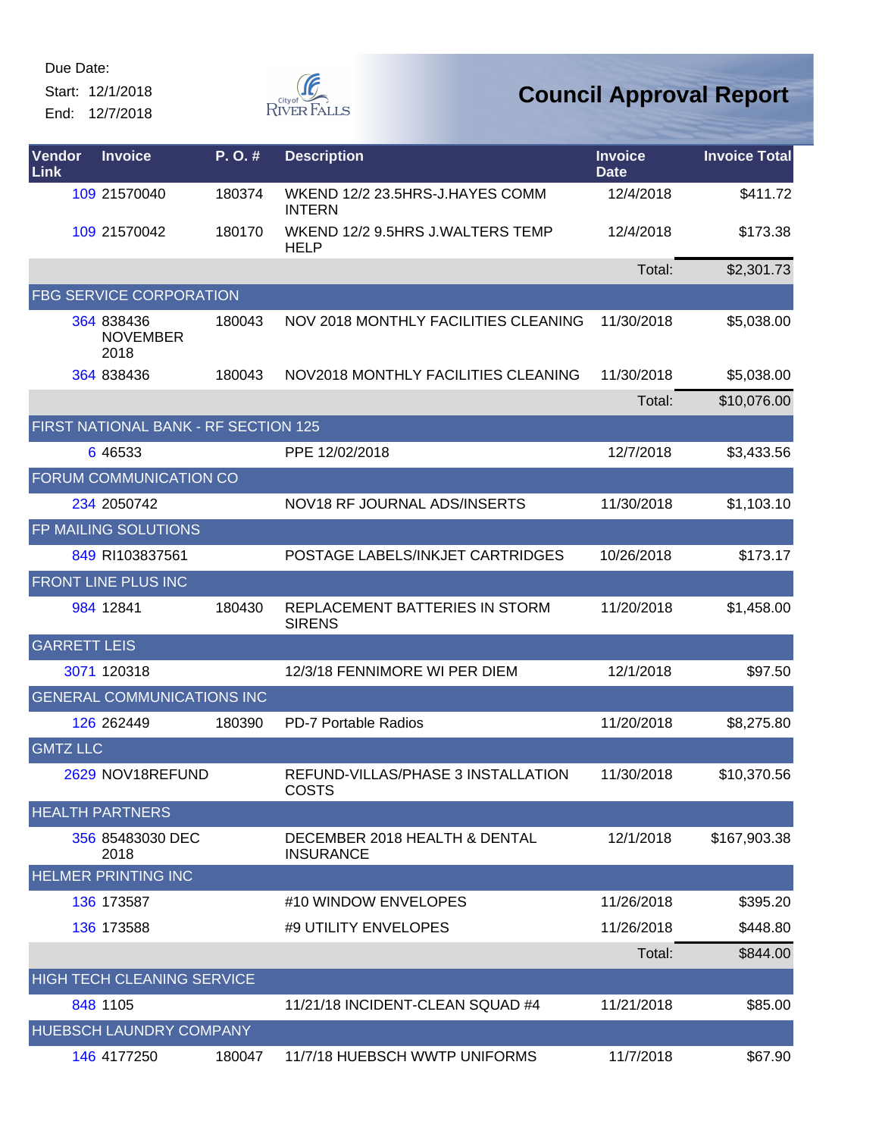Start: 12/1/2018 End: 12/7/2018



| Vendor<br>Link      | <b>Invoice</b>                        | P.O.#  | <b>Description</b>                                 | <b>Invoice</b><br><b>Date</b> | <b>Invoice Total</b> |
|---------------------|---------------------------------------|--------|----------------------------------------------------|-------------------------------|----------------------|
|                     | 109 21570040                          | 180374 | WKEND 12/2 23.5HRS-J.HAYES COMM<br><b>INTERN</b>   | 12/4/2018                     | \$411.72             |
|                     | 109 21570042                          | 180170 | WKEND 12/2 9.5HRS J.WALTERS TEMP<br><b>HELP</b>    | 12/4/2018                     | \$173.38             |
|                     |                                       |        |                                                    | Total:                        | \$2,301.73           |
|                     | <b>FBG SERVICE CORPORATION</b>        |        |                                                    |                               |                      |
|                     | 364 838436<br><b>NOVEMBER</b><br>2018 | 180043 | NOV 2018 MONTHLY FACILITIES CLEANING               | 11/30/2018                    | \$5,038.00           |
|                     | 364 838436                            | 180043 | NOV2018 MONTHLY FACILITIES CLEANING                | 11/30/2018                    | \$5,038.00           |
|                     |                                       |        |                                                    | Total:                        | \$10,076.00          |
|                     | FIRST NATIONAL BANK - RF SECTION 125  |        |                                                    |                               |                      |
|                     | 6 46533                               |        | PPE 12/02/2018                                     | 12/7/2018                     | \$3,433.56           |
|                     | FORUM COMMUNICATION CO                |        |                                                    |                               |                      |
|                     | 234 2050742                           |        | NOV18 RF JOURNAL ADS/INSERTS                       | 11/30/2018                    | \$1,103.10           |
|                     | FP MAILING SOLUTIONS                  |        |                                                    |                               |                      |
|                     | 849 RI103837561                       |        | POSTAGE LABELS/INKJET CARTRIDGES                   | 10/26/2018                    | \$173.17             |
|                     | <b>FRONT LINE PLUS INC</b>            |        |                                                    |                               |                      |
|                     | 984 12841                             | 180430 | REPLACEMENT BATTERIES IN STORM<br><b>SIRENS</b>    | 11/20/2018                    | \$1,458.00           |
| <b>GARRETT LEIS</b> |                                       |        |                                                    |                               |                      |
|                     | 3071 120318                           |        | 12/3/18 FENNIMORE WI PER DIEM                      | 12/1/2018                     | \$97.50              |
|                     | <b>GENERAL COMMUNICATIONS INC</b>     |        |                                                    |                               |                      |
|                     | 126 262449                            | 180390 | <b>PD-7 Portable Radios</b>                        | 11/20/2018                    | \$8,275.80           |
| <b>GMTZ LLC</b>     |                                       |        |                                                    |                               |                      |
|                     | 2629 NOV18REFUND                      |        | REFUND-VILLAS/PHASE 3 INSTALLATION<br><b>COSTS</b> | 11/30/2018                    | \$10,370.56          |
|                     | <b>HEALTH PARTNERS</b>                |        |                                                    |                               |                      |
|                     | 356 85483030 DEC<br>2018              |        | DECEMBER 2018 HEALTH & DENTAL<br><b>INSURANCE</b>  | 12/1/2018                     | \$167,903.38         |
|                     | <b>HELMER PRINTING INC</b>            |        |                                                    |                               |                      |
|                     | 136 173587                            |        | #10 WINDOW ENVELOPES                               | 11/26/2018                    | \$395.20             |
|                     | 136 173588                            |        | #9 UTILITY ENVELOPES                               | 11/26/2018                    | \$448.80             |
|                     |                                       |        |                                                    | Total:                        | \$844.00             |
|                     | <b>HIGH TECH CLEANING SERVICE</b>     |        |                                                    |                               |                      |
|                     | 848 1105                              |        | 11/21/18 INCIDENT-CLEAN SQUAD #4                   | 11/21/2018                    | \$85.00              |
|                     | HUEBSCH LAUNDRY COMPANY               |        |                                                    |                               |                      |
|                     | 146 4177250                           | 180047 | 11/7/18 HUEBSCH WWTP UNIFORMS                      | 11/7/2018                     | \$67.90              |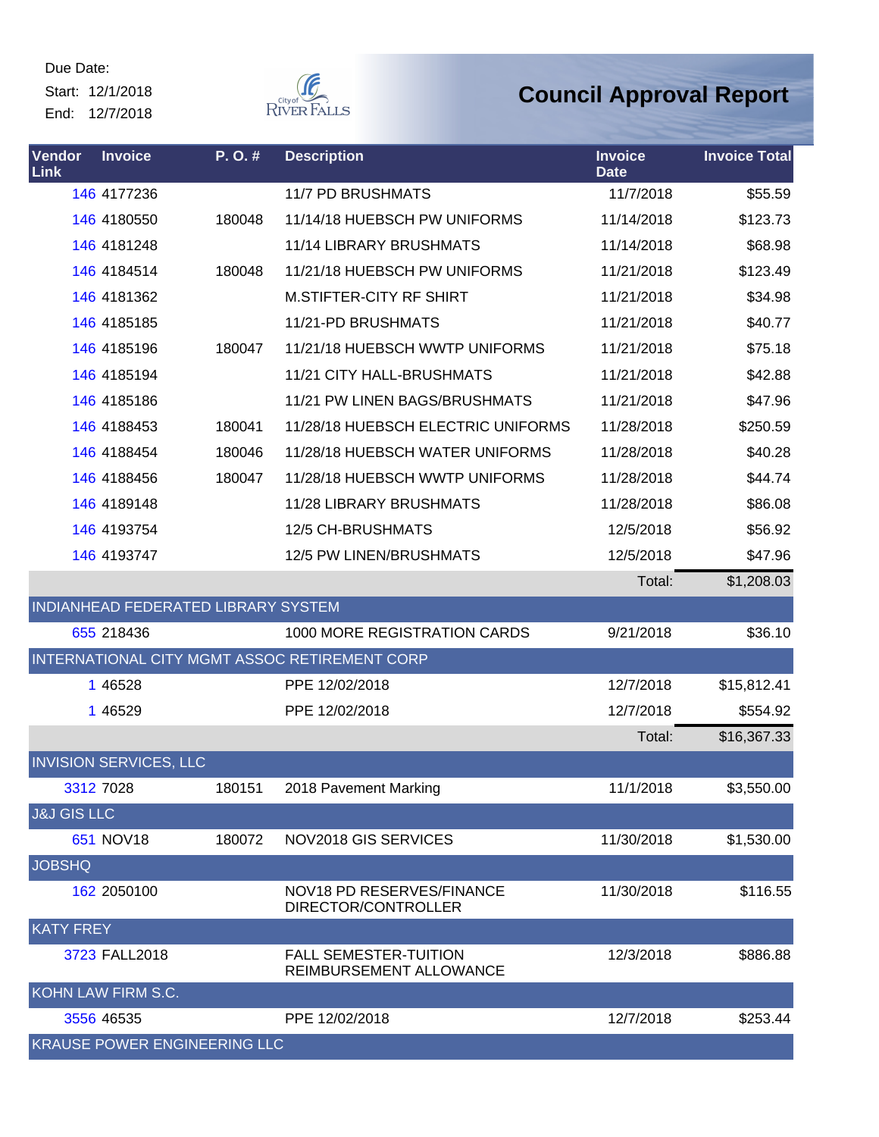Start: 12/1/2018 End: 12/7/2018



| Vendor<br>Link         | <b>Invoice</b>                | P.O.#                               | <b>Description</b>                                      | <b>Invoice</b><br><b>Date</b> | <b>Invoice Total</b> |
|------------------------|-------------------------------|-------------------------------------|---------------------------------------------------------|-------------------------------|----------------------|
|                        | 146 4177236                   |                                     | <b>11/7 PD BRUSHMATS</b>                                | 11/7/2018                     | \$55.59              |
|                        | 146 4180550                   | 180048                              | 11/14/18 HUEBSCH PW UNIFORMS                            | 11/14/2018                    | \$123.73             |
|                        | 146 4181248                   |                                     | 11/14 LIBRARY BRUSHMATS                                 | 11/14/2018                    | \$68.98              |
|                        | 146 4184514                   | 180048                              | 11/21/18 HUEBSCH PW UNIFORMS                            | 11/21/2018                    | \$123.49             |
|                        | 146 4181362                   |                                     | <b>M.STIFTER-CITY RF SHIRT</b>                          | 11/21/2018                    | \$34.98              |
|                        | 146 4185185                   |                                     | 11/21-PD BRUSHMATS                                      | 11/21/2018                    | \$40.77              |
|                        | 146 4185196                   | 180047                              | 11/21/18 HUEBSCH WWTP UNIFORMS                          | 11/21/2018                    | \$75.18              |
|                        | 146 4185194                   |                                     | 11/21 CITY HALL-BRUSHMATS                               | 11/21/2018                    | \$42.88              |
|                        | 146 4185186                   |                                     | 11/21 PW LINEN BAGS/BRUSHMATS                           | 11/21/2018                    | \$47.96              |
|                        | 146 4188453                   | 180041                              | 11/28/18 HUEBSCH ELECTRIC UNIFORMS                      | 11/28/2018                    | \$250.59             |
|                        | 146 4188454                   | 180046                              | 11/28/18 HUEBSCH WATER UNIFORMS                         | 11/28/2018                    | \$40.28              |
|                        | 146 4188456                   | 180047                              | 11/28/18 HUEBSCH WWTP UNIFORMS                          | 11/28/2018                    | \$44.74              |
|                        | 146 4189148                   |                                     | 11/28 LIBRARY BRUSHMATS                                 | 11/28/2018                    | \$86.08              |
|                        | 146 4193754                   |                                     | 12/5 CH-BRUSHMATS                                       | 12/5/2018                     | \$56.92              |
|                        | 146 4193747                   |                                     | 12/5 PW LINEN/BRUSHMATS                                 | 12/5/2018                     | \$47.96              |
|                        |                               |                                     |                                                         | Total:                        | \$1,208.03           |
|                        |                               | INDIANHEAD FEDERATED LIBRARY SYSTEM |                                                         |                               |                      |
|                        | 655 218436                    |                                     | 1000 MORE REGISTRATION CARDS                            | 9/21/2018                     | \$36.10              |
|                        |                               |                                     | INTERNATIONAL CITY MGMT ASSOC RETIREMENT CORP           |                               |                      |
|                        | 1 46528                       |                                     | PPE 12/02/2018                                          | 12/7/2018                     | \$15,812.41          |
|                        | 1 46529                       |                                     | PPE 12/02/2018                                          | 12/7/2018                     | \$554.92             |
|                        |                               |                                     |                                                         | Total:                        | \$16,367.33          |
|                        | <b>INVISION SERVICES, LLC</b> |                                     |                                                         |                               |                      |
|                        | 3312 7028                     | 180151                              | 2018 Pavement Marking                                   | 11/1/2018                     | \$3,550.00           |
| <b>J&amp;J GIS LLC</b> |                               |                                     |                                                         |                               |                      |
|                        | 651 NOV18                     | 180072                              | NOV2018 GIS SERVICES                                    | 11/30/2018                    | \$1,530.00           |
| <b>JOBSHQ</b>          |                               |                                     |                                                         |                               |                      |
|                        | 162 2050100                   |                                     | NOV18 PD RESERVES/FINANCE<br>DIRECTOR/CONTROLLER        | 11/30/2018                    | \$116.55             |
| <b>KATY FREY</b>       |                               |                                     |                                                         |                               |                      |
|                        | 3723 FALL2018                 |                                     | <b>FALL SEMESTER-TUITION</b><br>REIMBURSEMENT ALLOWANCE | 12/3/2018                     | \$886.88             |
|                        | KOHN LAW FIRM S.C.            |                                     |                                                         |                               |                      |
|                        | 3556 46535                    |                                     | PPE 12/02/2018                                          | 12/7/2018                     | \$253.44             |
|                        |                               | <b>KRAUSE POWER ENGINEERING LLC</b> |                                                         |                               |                      |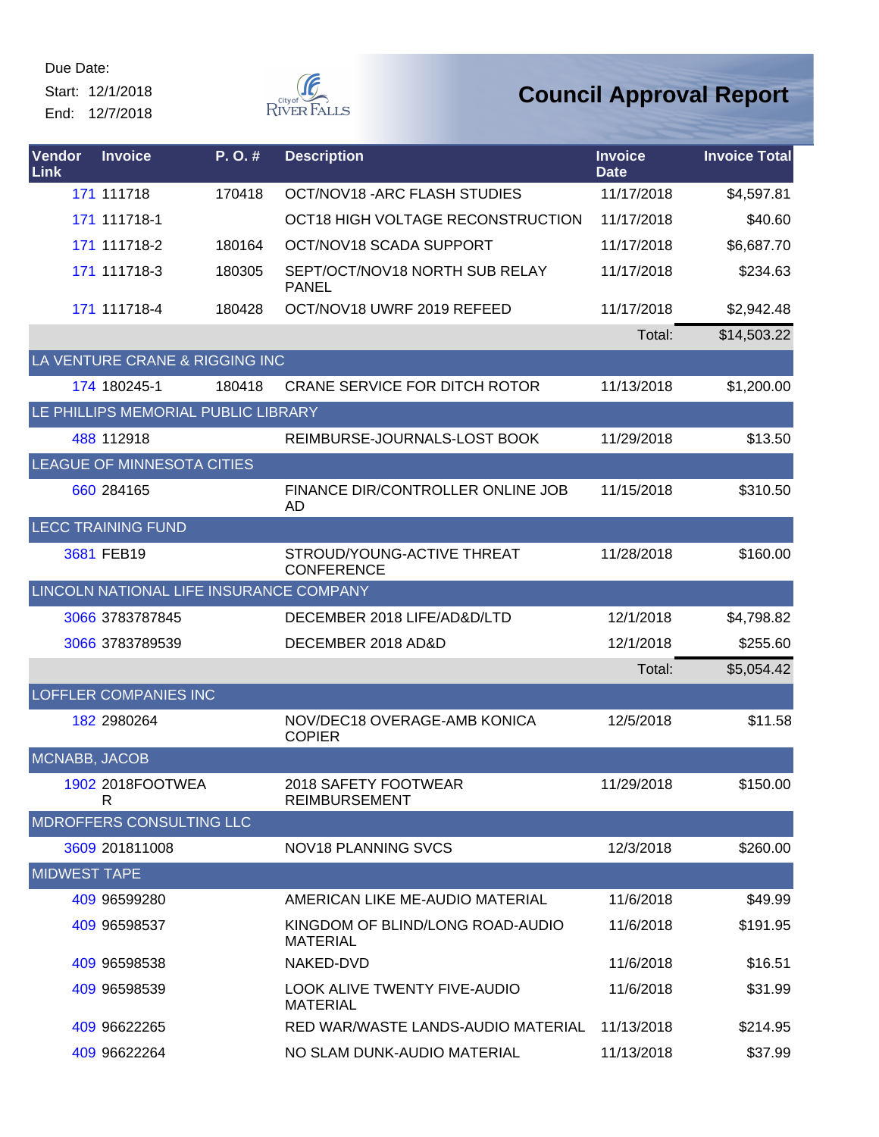Start: 12/1/2018 End: 12/7/2018



| Vendor<br><b>Link</b> | <b>Invoice</b>                          | P. O. # | <b>Description</b>                                     | <b>Invoice</b><br><b>Date</b> | <b>Invoice Total</b> |
|-----------------------|-----------------------------------------|---------|--------------------------------------------------------|-------------------------------|----------------------|
|                       | 171 111718                              | 170418  | OCT/NOV18 - ARC FLASH STUDIES                          | 11/17/2018                    | \$4,597.81           |
|                       | 171 111718-1                            |         | OCT18 HIGH VOLTAGE RECONSTRUCTION                      | 11/17/2018                    | \$40.60              |
|                       | 171 111718-2                            | 180164  | OCT/NOV18 SCADA SUPPORT                                | 11/17/2018                    | \$6,687.70           |
|                       | 171 111718-3                            | 180305  | SEPT/OCT/NOV18 NORTH SUB RELAY<br><b>PANEL</b>         | 11/17/2018                    | \$234.63             |
|                       | 171 111718-4                            | 180428  | OCT/NOV18 UWRF 2019 REFEED                             | 11/17/2018                    | \$2,942.48           |
|                       |                                         |         |                                                        | Total:                        | \$14,503.22          |
|                       | LA VENTURE CRANE & RIGGING INC          |         |                                                        |                               |                      |
|                       | 174 180245-1                            | 180418  | <b>CRANE SERVICE FOR DITCH ROTOR</b>                   | 11/13/2018                    | \$1,200.00           |
|                       | LE PHILLIPS MEMORIAL PUBLIC LIBRARY     |         |                                                        |                               |                      |
|                       | 488 112918                              |         | REIMBURSE-JOURNALS-LOST BOOK                           | 11/29/2018                    | \$13.50              |
|                       | LEAGUE OF MINNESOTA CITIES              |         |                                                        |                               |                      |
|                       | 660 284165                              |         | FINANCE DIR/CONTROLLER ONLINE JOB<br>AD                | 11/15/2018                    | \$310.50             |
|                       | <b>LECC TRAINING FUND</b>               |         |                                                        |                               |                      |
|                       | 3681 FEB19                              |         | STROUD/YOUNG-ACTIVE THREAT<br><b>CONFERENCE</b>        | 11/28/2018                    | \$160.00             |
|                       | LINCOLN NATIONAL LIFE INSURANCE COMPANY |         |                                                        |                               |                      |
|                       | 3066 3783787845                         |         | DECEMBER 2018 LIFE/AD&D/LTD                            | 12/1/2018                     | \$4,798.82           |
|                       | 3066 3783789539                         |         | DECEMBER 2018 AD&D                                     | 12/1/2018                     | \$255.60             |
|                       |                                         |         |                                                        | Total:                        | \$5,054.42           |
|                       | <b>LOFFLER COMPANIES INC</b>            |         |                                                        |                               |                      |
|                       | 182 2980264                             |         | NOV/DEC18 OVERAGE-AMB KONICA<br><b>COPIER</b>          | 12/5/2018                     | \$11.58              |
| MCNABB, JACOB         |                                         |         |                                                        |                               |                      |
|                       | 1902 2018FOOTWEA<br>R                   |         | 2018 SAFETY FOOTWEAR<br><b>REIMBURSEMENT</b>           | 11/29/2018                    | \$150.00             |
|                       | <b>MDROFFERS CONSULTING LLC</b>         |         |                                                        |                               |                      |
|                       | 3609 201811008                          |         | <b>NOV18 PLANNING SVCS</b>                             | 12/3/2018                     | \$260.00             |
| <b>MIDWEST TAPE</b>   |                                         |         |                                                        |                               |                      |
|                       | 409 96599280                            |         | AMERICAN LIKE ME-AUDIO MATERIAL                        | 11/6/2018                     | \$49.99              |
|                       | 409 96598537                            |         | KINGDOM OF BLIND/LONG ROAD-AUDIO<br><b>MATERIAL</b>    | 11/6/2018                     | \$191.95             |
|                       | 409 96598538                            |         | NAKED-DVD                                              | 11/6/2018                     | \$16.51              |
|                       | 409 96598539                            |         | <b>LOOK ALIVE TWENTY FIVE-AUDIO</b><br><b>MATERIAL</b> | 11/6/2018                     | \$31.99              |
|                       | 409 96622265                            |         | RED WAR/WASTE LANDS-AUDIO MATERIAL                     | 11/13/2018                    | \$214.95             |
|                       | 409 96622264                            |         | NO SLAM DUNK-AUDIO MATERIAL                            | 11/13/2018                    | \$37.99              |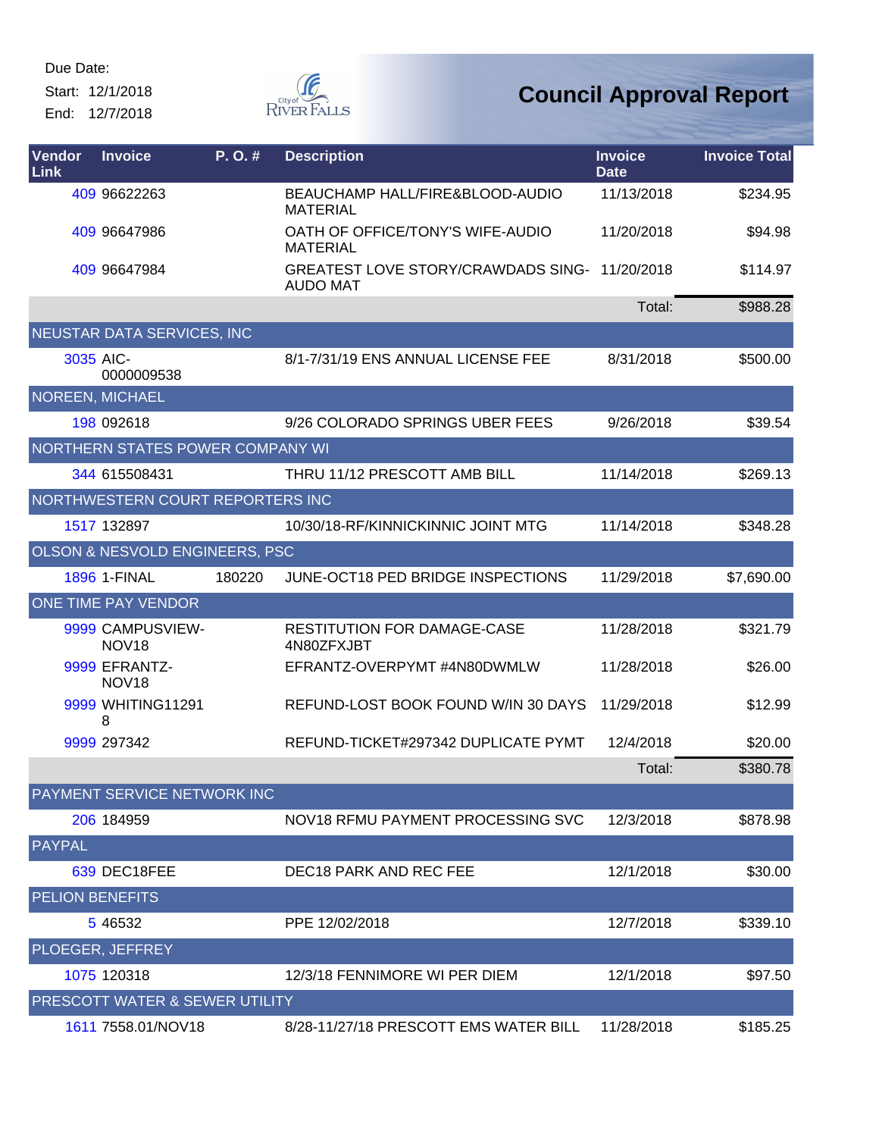Start: 12/1/2018 End: 12/7/2018



| <b>Vendor</b><br>Link  | <b>Invoice</b>                        | P. O.# | <b>Description</b>                                               | <b>Invoice</b><br><b>Date</b> | <b>Invoice Total</b> |
|------------------------|---------------------------------------|--------|------------------------------------------------------------------|-------------------------------|----------------------|
|                        | 409 96622263                          |        | BEAUCHAMP HALL/FIRE&BLOOD-AUDIO<br><b>MATERIAL</b>               | 11/13/2018                    | \$234.95             |
|                        | 409 96647986                          |        | OATH OF OFFICE/TONY'S WIFE-AUDIO<br><b>MATERIAL</b>              | 11/20/2018                    | \$94.98              |
|                        | 409 96647984                          |        | GREATEST LOVE STORY/CRAWDADS SING- 11/20/2018<br><b>AUDO MAT</b> |                               | \$114.97             |
|                        |                                       |        |                                                                  | Total:                        | \$988.28             |
|                        | NEUSTAR DATA SERVICES, INC            |        |                                                                  |                               |                      |
|                        | 3035 AIC-<br>0000009538               |        | 8/1-7/31/19 ENS ANNUAL LICENSE FEE                               | 8/31/2018                     | \$500.00             |
|                        | NOREEN, MICHAEL                       |        |                                                                  |                               |                      |
|                        | 198 092618                            |        | 9/26 COLORADO SPRINGS UBER FEES                                  | 9/26/2018                     | \$39.54              |
|                        | NORTHERN STATES POWER COMPANY WI      |        |                                                                  |                               |                      |
|                        | 344 615508431                         |        | THRU 11/12 PRESCOTT AMB BILL                                     | 11/14/2018                    | \$269.13             |
|                        | NORTHWESTERN COURT REPORTERS INC      |        |                                                                  |                               |                      |
|                        | 1517 132897                           |        | 10/30/18-RF/KINNICKINNIC JOINT MTG                               | 11/14/2018                    | \$348.28             |
|                        | OLSON & NESVOLD ENGINEERS, PSC        |        |                                                                  |                               |                      |
|                        | <b>1896 1-FINAL</b>                   | 180220 | JUNE-OCT18 PED BRIDGE INSPECTIONS                                | 11/29/2018                    | \$7,690.00           |
|                        | ONE TIME PAY VENDOR                   |        |                                                                  |                               |                      |
|                        | 9999 CAMPUSVIEW-<br>NOV <sub>18</sub> |        | <b>RESTITUTION FOR DAMAGE-CASE</b><br>4N80ZFXJBT                 | 11/28/2018                    | \$321.79             |
|                        | 9999 EFRANTZ-<br>NOV <sub>18</sub>    |        | EFRANTZ-OVERPYMT #4N80DWMLW                                      | 11/28/2018                    | \$26.00              |
|                        | 9999 WHITING11291<br>8                |        | REFUND-LOST BOOK FOUND W/IN 30 DAYS                              | 11/29/2018                    | \$12.99              |
|                        | 9999 297342                           |        | REFUND-TICKET#297342 DUPLICATE PYMT                              | 12/4/2018                     | \$20.00              |
|                        |                                       |        |                                                                  | Total:                        | \$380.78             |
|                        | PAYMENT SERVICE NETWORK INC           |        |                                                                  |                               |                      |
|                        | 206 184959                            |        | NOV18 RFMU PAYMENT PROCESSING SVC                                | 12/3/2018                     | \$878.98             |
| <b>PAYPAL</b>          |                                       |        |                                                                  |                               |                      |
|                        | 639 DEC18FEE                          |        | DEC18 PARK AND REC FEE                                           | 12/1/2018                     | \$30.00              |
| <b>PELION BENEFITS</b> |                                       |        |                                                                  |                               |                      |
|                        | 5 4 6 5 3 2                           |        | PPE 12/02/2018                                                   | 12/7/2018                     | \$339.10             |
|                        | PLOEGER, JEFFREY                      |        |                                                                  |                               |                      |
|                        | 1075 120318                           |        | 12/3/18 FENNIMORE WI PER DIEM                                    | 12/1/2018                     | \$97.50              |
|                        | PRESCOTT WATER & SEWER UTILITY        |        |                                                                  |                               |                      |
|                        | 1611 7558.01/NOV18                    |        | 8/28-11/27/18 PRESCOTT EMS WATER BILL                            | 11/28/2018                    | \$185.25             |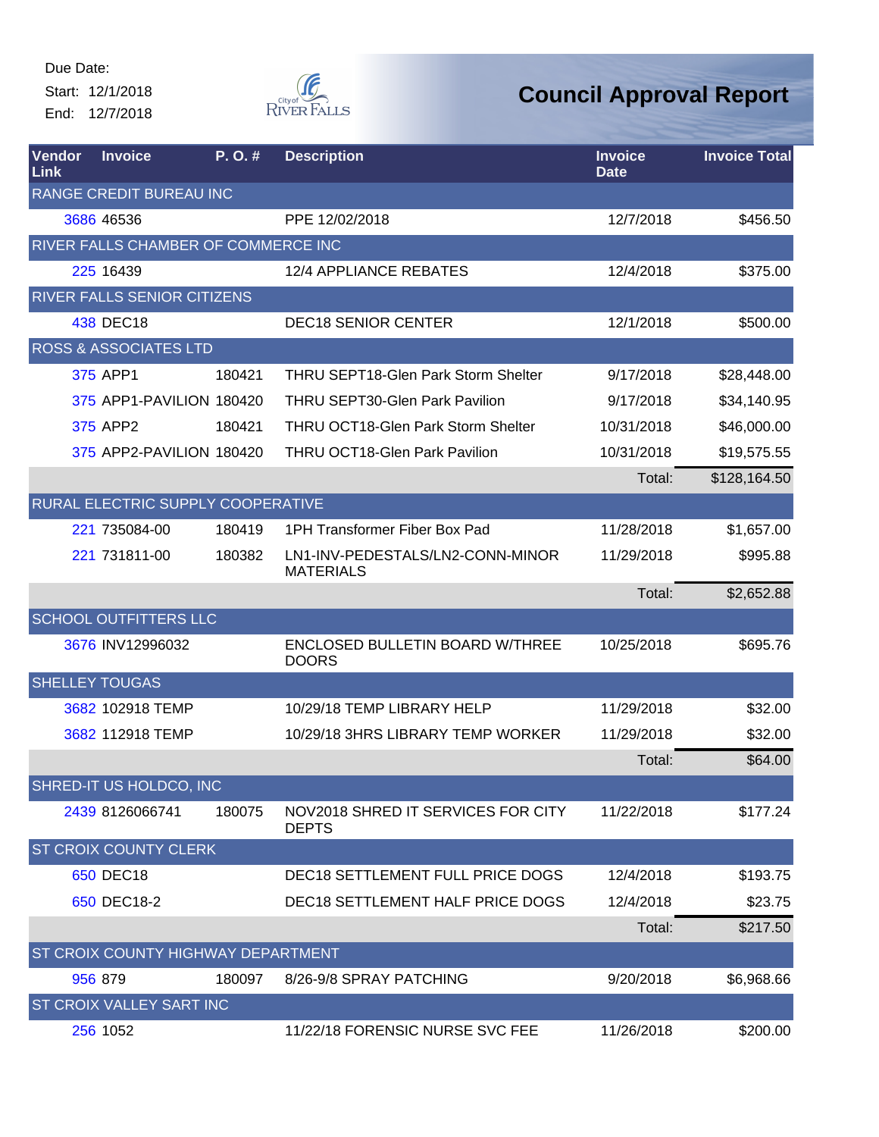Start: 12/1/2018 End: 12/7/2018



| Vendor<br>Link | <b>Invoice</b>                      | P.O.#  | <b>Description</b>                                     | <b>Invoice</b><br><b>Date</b> | <b>Invoice Total</b> |
|----------------|-------------------------------------|--------|--------------------------------------------------------|-------------------------------|----------------------|
|                | RANGE CREDIT BUREAU INC             |        |                                                        |                               |                      |
|                | 3686 46536                          |        | PPE 12/02/2018                                         | 12/7/2018                     | \$456.50             |
|                | RIVER FALLS CHAMBER OF COMMERCE INC |        |                                                        |                               |                      |
|                | 225 16439                           |        | 12/4 APPLIANCE REBATES                                 | 12/4/2018                     | \$375.00             |
|                | <b>RIVER FALLS SENIOR CITIZENS</b>  |        |                                                        |                               |                      |
|                | 438 DEC18                           |        | <b>DEC18 SENIOR CENTER</b>                             | 12/1/2018                     | \$500.00             |
|                | <b>ROSS &amp; ASSOCIATES LTD</b>    |        |                                                        |                               |                      |
|                | 375 APP1                            | 180421 | <b>THRU SEPT18-Glen Park Storm Shelter</b>             | 9/17/2018                     | \$28,448.00          |
|                | 375 APP1-PAVILION 180420            |        | <b>THRU SEPT30-Glen Park Pavilion</b>                  | 9/17/2018                     | \$34,140.95          |
|                | 375 APP2                            | 180421 | <b>THRU OCT18-Glen Park Storm Shelter</b>              | 10/31/2018                    | \$46,000.00          |
|                | 375 APP2-PAVILION 180420            |        | <b>THRU OCT18-Glen Park Pavilion</b>                   | 10/31/2018                    | \$19,575.55          |
|                |                                     |        |                                                        | Total:                        | \$128,164.50         |
|                | RURAL ELECTRIC SUPPLY COOPERATIVE   |        |                                                        |                               |                      |
|                | 221 735084-00                       | 180419 | 1PH Transformer Fiber Box Pad                          | 11/28/2018                    | \$1,657.00           |
|                | 221 731811-00                       | 180382 | LN1-INV-PEDESTALS/LN2-CONN-MINOR<br><b>MATERIALS</b>   | 11/29/2018                    | \$995.88             |
|                |                                     |        |                                                        | Total:                        | \$2,652.88           |
|                | <b>SCHOOL OUTFITTERS LLC</b>        |        |                                                        |                               |                      |
|                | 3676 INV12996032                    |        | <b>ENCLOSED BULLETIN BOARD W/THREE</b><br><b>DOORS</b> | 10/25/2018                    | \$695.76             |
|                | <b>SHELLEY TOUGAS</b>               |        |                                                        |                               |                      |
|                | 3682 102918 TEMP                    |        | 10/29/18 TEMP LIBRARY HELP                             | 11/29/2018                    | \$32.00              |
|                | 3682 112918 TEMP                    |        | 10/29/18 3HRS LIBRARY TEMP WORKER                      | 11/29/2018                    | \$32.00              |
|                |                                     |        |                                                        | Total:                        | \$64.00              |
|                | SHRED-IT US HOLDCO, INC             |        |                                                        |                               |                      |
|                | 2439 8126066741                     | 180075 | NOV2018 SHRED IT SERVICES FOR CITY<br><b>DEPTS</b>     | 11/22/2018                    | \$177.24             |
|                | <b>ST CROIX COUNTY CLERK</b>        |        |                                                        |                               |                      |
|                | 650 DEC18                           |        | DEC18 SETTLEMENT FULL PRICE DOGS                       | 12/4/2018                     | \$193.75             |
|                | 650 DEC18-2                         |        | <b>DEC18 SETTLEMENT HALF PRICE DOGS</b>                | 12/4/2018                     | \$23.75              |
|                |                                     |        |                                                        | Total:                        | \$217.50             |
|                | ST CROIX COUNTY HIGHWAY DEPARTMENT  |        |                                                        |                               |                      |
|                | 956 879                             | 180097 | 8/26-9/8 SPRAY PATCHING                                | 9/20/2018                     | \$6,968.66           |
|                | ST CROIX VALLEY SART INC            |        |                                                        |                               |                      |
|                | 256 1052                            |        | 11/22/18 FORENSIC NURSE SVC FEE                        | 11/26/2018                    | \$200.00             |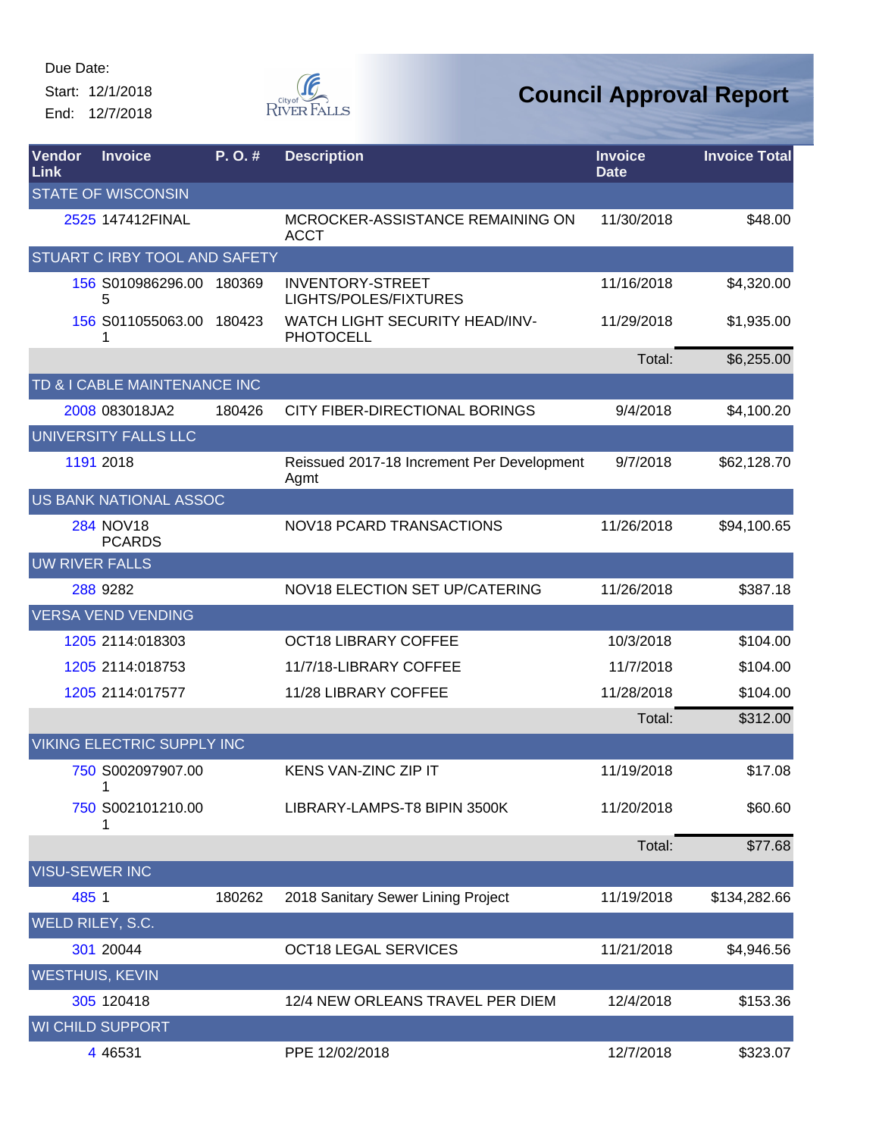Start: 12/1/2018 End: 12/7/2018



| Vendor<br>Link | <b>Invoice</b>                    | P.O.#  | <b>Description</b>                                 | <b>Invoice</b><br><b>Date</b> | <b>Invoice Total</b> |
|----------------|-----------------------------------|--------|----------------------------------------------------|-------------------------------|----------------------|
|                | <b>STATE OF WISCONSIN</b>         |        |                                                    |                               |                      |
|                | 2525 147412FINAL                  |        | MCROCKER-ASSISTANCE REMAINING ON<br><b>ACCT</b>    | 11/30/2018                    | \$48.00              |
|                | STUART C IRBY TOOL AND SAFETY     |        |                                                    |                               |                      |
|                | 156 S010986296.00 180369<br>5     |        | <b>INVENTORY-STREET</b><br>LIGHTS/POLES/FIXTURES   | 11/16/2018                    | \$4,320.00           |
|                | 156 S011055063.00 180423          |        | WATCH LIGHT SECURITY HEAD/INV-<br><b>PHOTOCELL</b> | 11/29/2018                    | \$1,935.00           |
|                |                                   |        |                                                    | Total:                        | \$6,255.00           |
|                | TD & I CABLE MAINTENANCE INC      |        |                                                    |                               |                      |
|                | 2008 083018JA2                    | 180426 | CITY FIBER-DIRECTIONAL BORINGS                     | 9/4/2018                      | \$4,100.20           |
|                | <b>UNIVERSITY FALLS LLC</b>       |        |                                                    |                               |                      |
|                | 1191 2018                         |        | Reissued 2017-18 Increment Per Development<br>Agmt | 9/7/2018                      | \$62,128.70          |
|                | US BANK NATIONAL ASSOC            |        |                                                    |                               |                      |
|                | <b>284 NOV18</b><br><b>PCARDS</b> |        | NOV18 PCARD TRANSACTIONS                           | 11/26/2018                    | \$94,100.65          |
|                | <b>UW RIVER FALLS</b>             |        |                                                    |                               |                      |
|                | 288 9282                          |        | NOV18 ELECTION SET UP/CATERING                     | 11/26/2018                    | \$387.18             |
|                | <b>VERSA VEND VENDING</b>         |        |                                                    |                               |                      |
|                | 1205 2114:018303                  |        | <b>OCT18 LIBRARY COFFEE</b>                        | 10/3/2018                     | \$104.00             |
|                | 1205 2114:018753                  |        | 11/7/18-LIBRARY COFFEE                             | 11/7/2018                     | \$104.00             |
|                | 1205 2114:017577                  |        | 11/28 LIBRARY COFFEE                               | 11/28/2018                    | \$104.00             |
|                |                                   |        |                                                    | Total:                        | \$312.00             |
|                | VIKING ELECTRIC SUPPLY INC        |        |                                                    |                               |                      |
|                | 750 S002097907.00                 |        | KENS VAN-ZINC ZIP IT                               | 11/19/2018                    | \$17.08              |
|                | 750 S002101210.00                 |        | LIBRARY-LAMPS-T8 BIPIN 3500K                       | 11/20/2018                    | \$60.60              |
|                |                                   |        |                                                    | Total:                        | \$77.68              |
|                | <b>VISU-SEWER INC</b>             |        |                                                    |                               |                      |
|                | 485 1                             | 180262 | 2018 Sanitary Sewer Lining Project                 | 11/19/2018                    | \$134,282.66         |
|                | WELD RILEY, S.C.                  |        |                                                    |                               |                      |
|                | 301 20044                         |        | <b>OCT18 LEGAL SERVICES</b>                        | 11/21/2018                    | \$4,946.56           |
|                | <b>WESTHUIS, KEVIN</b>            |        |                                                    |                               |                      |
|                | 305 120418                        |        | 12/4 NEW ORLEANS TRAVEL PER DIEM                   | 12/4/2018                     | \$153.36             |
|                | <b>WI CHILD SUPPORT</b>           |        |                                                    |                               |                      |
|                | 4 4 6 5 3 1                       |        | PPE 12/02/2018                                     | 12/7/2018                     | \$323.07             |